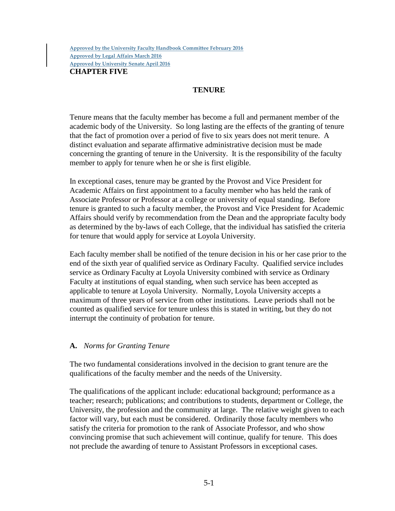## **TENURE**

Tenure means that the faculty member has become a full and permanent member of the academic body of the University. So long lasting are the effects of the granting of tenure that the fact of promotion over a period of five to six years does not merit tenure. A distinct evaluation and separate affirmative administrative decision must be made concerning the granting of tenure in the University. It is the responsibility of the faculty member to apply for tenure when he or she is first eligible.

In exceptional cases, tenure may be granted by the Provost and Vice President for Academic Affairs on first appointment to a faculty member who has held the rank of Associate Professor or Professor at a college or university of equal standing. Before tenure is granted to such a faculty member, the Provost and Vice President for Academic Affairs should verify by recommendation from the Dean and the appropriate faculty body as determined by the by-laws of each College, that the individual has satisfied the criteria for tenure that would apply for service at Loyola University.

Each faculty member shall be notified of the tenure decision in his or her case prior to the end of the sixth year of qualified service as Ordinary Faculty. Qualified service includes service as Ordinary Faculty at Loyola University combined with service as Ordinary Faculty at institutions of equal standing, when such service has been accepted as applicable to tenure at Loyola University. Normally, Loyola University accepts a maximum of three years of service from other institutions. Leave periods shall not be counted as qualified service for tenure unless this is stated in writing, but they do not interrupt the continuity of probation for tenure.

## **A.** *Norms for Granting Tenure*

The two fundamental considerations involved in the decision to grant tenure are the qualifications of the faculty member and the needs of the University.

The qualifications of the applicant include: educational background; performance as a teacher; research; publications; and contributions to students, department or College, the University, the profession and the community at large. The relative weight given to each factor will vary, but each must be considered. Ordinarily those faculty members who satisfy the criteria for promotion to the rank of Associate Professor, and who show convincing promise that such achievement will continue, qualify for tenure. This does not preclude the awarding of tenure to Assistant Professors in exceptional cases.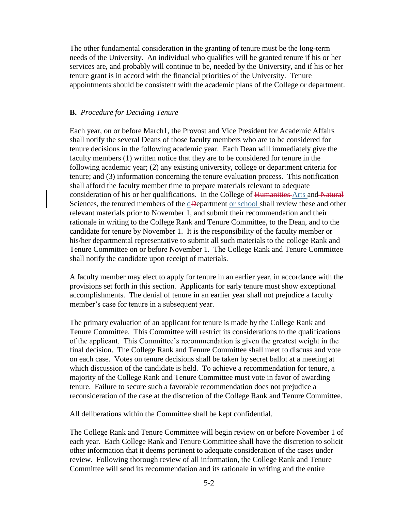The other fundamental consideration in the granting of tenure must be the long-term needs of the University. An individual who qualifies will be granted tenure if his or her services are, and probably will continue to be, needed by the University, and if his or her tenure grant is in accord with the financial priorities of the University. Tenure appointments should be consistent with the academic plans of the College or department.

## **B.** *Procedure for Deciding Tenure*

Each year, on or before March1, the Provost and Vice President for Academic Affairs shall notify the several Deans of those faculty members who are to be considered for tenure decisions in the following academic year. Each Dean will immediately give the faculty members (1) written notice that they are to be considered for tenure in the following academic year; (2) any existing university, college or department criteria for tenure; and (3) information concerning the tenure evaluation process. This notification shall afford the faculty member time to prepare materials relevant to adequate consideration of his or her qualifications. In the College of Humanities Arts and Natural Sciences, the tenured members of the dDepartment or school shall review these and other relevant materials prior to November 1, and submit their recommendation and their rationale in writing to the College Rank and Tenure Committee, to the Dean, and to the candidate for tenure by November 1. It is the responsibility of the faculty member or his/her departmental representative to submit all such materials to the college Rank and Tenure Committee on or before November 1. The College Rank and Tenure Committee shall notify the candidate upon receipt of materials.

A faculty member may elect to apply for tenure in an earlier year, in accordance with the provisions set forth in this section. Applicants for early tenure must show exceptional accomplishments. The denial of tenure in an earlier year shall not prejudice a faculty member's case for tenure in a subsequent year.

The primary evaluation of an applicant for tenure is made by the College Rank and Tenure Committee. This Committee will restrict its considerations to the qualifications of the applicant. This Committee's recommendation is given the greatest weight in the final decision. The College Rank and Tenure Committee shall meet to discuss and vote on each case. Votes on tenure decisions shall be taken by secret ballot at a meeting at which discussion of the candidate is held. To achieve a recommendation for tenure, a majority of the College Rank and Tenure Committee must vote in favor of awarding tenure. Failure to secure such a favorable recommendation does not prejudice a reconsideration of the case at the discretion of the College Rank and Tenure Committee.

All deliberations within the Committee shall be kept confidential.

The College Rank and Tenure Committee will begin review on or before November 1 of each year. Each College Rank and Tenure Committee shall have the discretion to solicit other information that it deems pertinent to adequate consideration of the cases under review. Following thorough review of all information, the College Rank and Tenure Committee will send its recommendation and its rationale in writing and the entire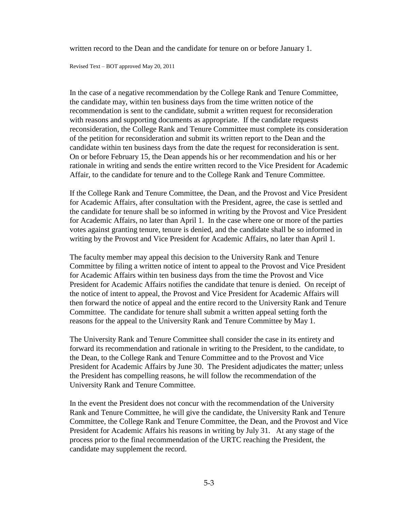written record to the Dean and the candidate for tenure on or before January 1.

Revised Text – BOT approved May 20, 2011

In the case of a negative recommendation by the College Rank and Tenure Committee, the candidate may, within ten business days from the time written notice of the recommendation is sent to the candidate, submit a written request for reconsideration with reasons and supporting documents as appropriate. If the candidate requests reconsideration, the College Rank and Tenure Committee must complete its consideration of the petition for reconsideration and submit its written report to the Dean and the candidate within ten business days from the date the request for reconsideration is sent. On or before February 15, the Dean appends his or her recommendation and his or her rationale in writing and sends the entire written record to the Vice President for Academic Affair, to the candidate for tenure and to the College Rank and Tenure Committee.

If the College Rank and Tenure Committee, the Dean, and the Provost and Vice President for Academic Affairs, after consultation with the President, agree, the case is settled and the candidate for tenure shall be so informed in writing by the Provost and Vice President for Academic Affairs, no later than April 1. In the case where one or more of the parties votes against granting tenure, tenure is denied, and the candidate shall be so informed in writing by the Provost and Vice President for Academic Affairs, no later than April 1.

The faculty member may appeal this decision to the University Rank and Tenure Committee by filing a written notice of intent to appeal to the Provost and Vice President for Academic Affairs within ten business days from the time the Provost and Vice President for Academic Affairs notifies the candidate that tenure is denied. On receipt of the notice of intent to appeal, the Provost and Vice President for Academic Affairs will then forward the notice of appeal and the entire record to the University Rank and Tenure Committee. The candidate for tenure shall submit a written appeal setting forth the reasons for the appeal to the University Rank and Tenure Committee by May 1.

The University Rank and Tenure Committee shall consider the case in its entirety and forward its recommendation and rationale in writing to the President, to the candidate, to the Dean, to the College Rank and Tenure Committee and to the Provost and Vice President for Academic Affairs by June 30. The President adjudicates the matter; unless the President has compelling reasons, he will follow the recommendation of the University Rank and Tenure Committee.

In the event the President does not concur with the recommendation of the University Rank and Tenure Committee, he will give the candidate, the University Rank and Tenure Committee, the College Rank and Tenure Committee, the Dean, and the Provost and Vice President for Academic Affairs his reasons in writing by July 31. At any stage of the process prior to the final recommendation of the URTC reaching the President, the candidate may supplement the record.